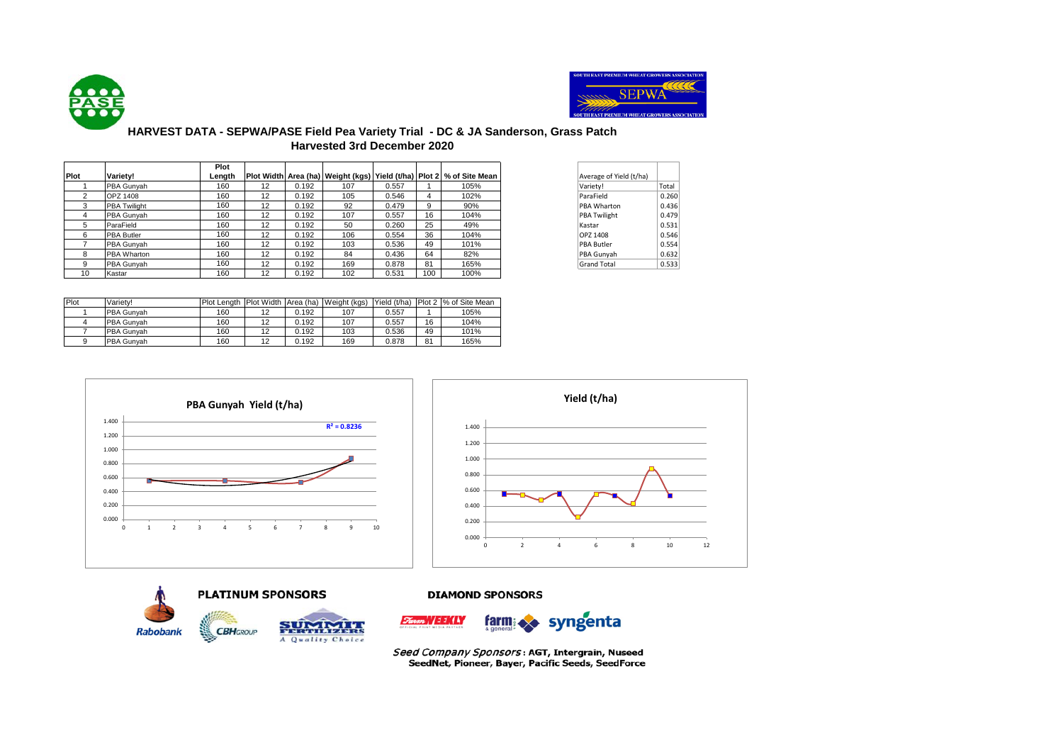



## **HARVEST DATA - SEPWA/PASE Field Pea Variety Trial - DC & JA Sanderson, Grass Patch Harvested 3rd December 2020**

|      |                     | Plot   |    |       |     |       |     |                                                                      |                         |       |
|------|---------------------|--------|----|-------|-----|-------|-----|----------------------------------------------------------------------|-------------------------|-------|
| Plot | Variety!            | Length |    |       |     |       |     | Plot Width Area (ha) Weight (kgs) Yield (t/ha) Plot 2 % of Site Mean | Average of Yield (t/ha) |       |
|      | <b>PBA Gunvah</b>   | 160    | 12 | 0.192 | 107 | 0.557 |     | 105%                                                                 | Variety!                | Total |
|      | <b>OPZ 1408</b>     | 160    | 12 | 0.192 | 105 | 0.546 | 4   | 102%                                                                 | ParaField               | 0.260 |
| 3    | <b>PBA Twilight</b> | 160    | 12 | 0.192 | 92  | 0.479 | 9   | 90%                                                                  | PBA Wharton             | 0.436 |
| 4    | <b>PBA Gunvah</b>   | 160    | 12 | 0.192 | 107 | 0.557 | 16  | 104%                                                                 | PBA Twilight            | 0.479 |
| 5    | ParaField           | 160    | 12 | 0.192 | 50  | 0.260 | 25  | 49%                                                                  | Kastar                  | 0.531 |
| 6    | <b>PBA Butler</b>   | 160    | 12 | 0.192 | 106 | 0.554 | 36  | 104%                                                                 | OPZ 1408                | 0.546 |
|      | <b>PBA Gunvah</b>   | 160    | 12 | 0.192 | 103 | 0.536 | 49  | 101%                                                                 | <b>PBA Butler</b>       | 0.554 |
| 8    | <b>PBA Wharton</b>  | 160    | 12 | 0.192 | 84  | 0.436 | 64  | 82%                                                                  | PBA Gunyah              | 0.632 |
| 9    | <b>PBA Gunvah</b>   | 160    | 12 | 0.192 | 169 | 0.878 | 81  | 165%                                                                 | <b>Grand Total</b>      | 0.533 |
| 10   | Kastar              | 160    | 12 | 0.192 | 102 | 0.531 | 100 | 100%                                                                 |                         |       |

| Average of Yield (t/ha) |       |
|-------------------------|-------|
| Variety!                | Total |
| ParaField               | 0.260 |
| PBA Wharton             | 0.436 |
| <b>PBA Twilight</b>     | 0.479 |
| Kastar                  | 0.531 |
| OPZ 1408                | 0.546 |
| <b>PBA Butler</b>       | 0.554 |
| PBA Gunyah              | 0.632 |
| <b>Grand Total</b>      | 0.533 |

| Plot | Variety!   | Plot Lenath |    |       | Plot Width Area (ha) Weight (kgs) | Yield (t/ha) |    | Plot 2 % of Site Mean |
|------|------------|-------------|----|-------|-----------------------------------|--------------|----|-----------------------|
|      | PBA Gunvah | 160         | 12 | 0.192 | 107                               | 0.557        |    | 105%                  |
|      | PBA Gunvah | 160         | 12 | 0.192 | 107                               | 0.557        | 16 | 104%                  |
|      | PBA Gunvah | 160         | 12 | 0.192 | 103                               | 0.536        | 49 | 101%                  |
|      | PBA Gunvah | 160         | 12 | 0.192 | 169                               | 0.878        | 81 | 165%                  |





**PLATINUM SPONSORS Rabobank CBHGROUP** FERTILIZERS A Quality Choice

**DIAMOND SPONSORS** 



Seed Company Sponsors: AGT, Intergrain, Nuseed SeedNet, Pioneer, Bayer, Pacific Seeds, SeedForce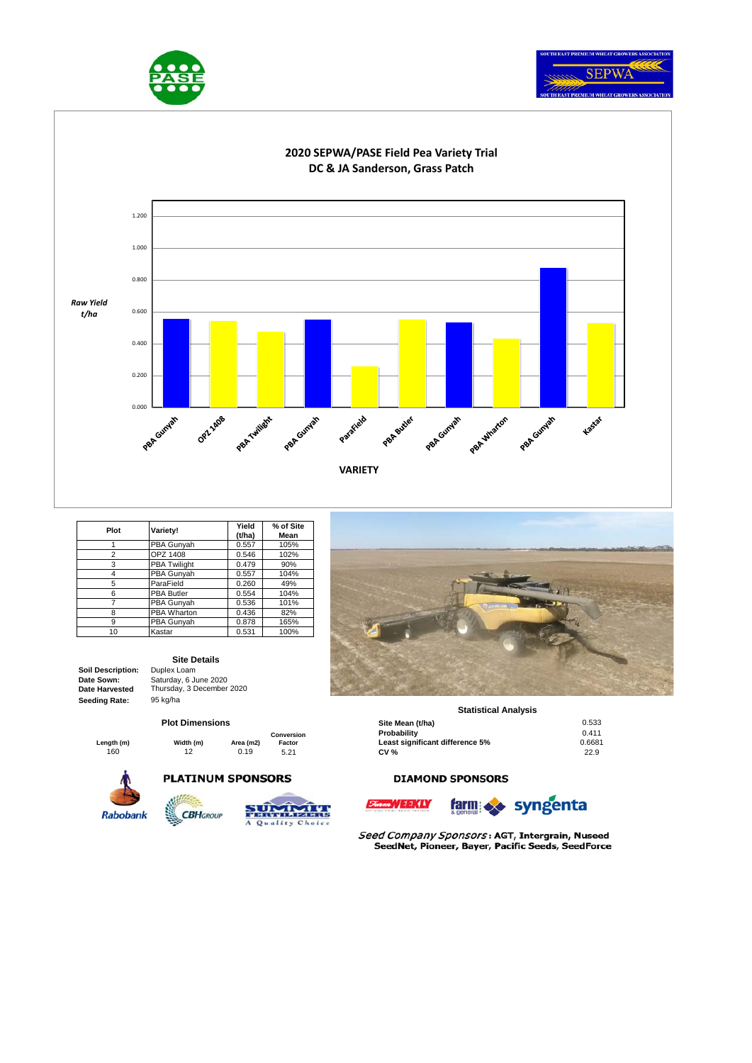





| Plot | Variety!            | Yield<br>(t/ha) | % of Site<br>Mean |
|------|---------------------|-----------------|-------------------|
|      | PBA Gunyah          | 0.557           | 105%              |
| 2    | OPZ 1408            | 0.546           | 102%              |
| 3    | <b>PBA Twilight</b> | 0.479           | 90%               |
| 4    | PBA Gunyah          | 0.557           | 104%              |
| 5    | ParaField           | 0.260           | 49%               |
| 6    | <b>PBA Butler</b>   | 0.554           | 104%              |
|      | PBA Gunyah          | 0.536           | 101%              |
| 8    | <b>PBA Wharton</b>  | 0.436           | 82%               |
| 9    | PBA Gunyah          | 0.878           | 165%              |
| 10   | Kastar              | 0.531           | 100%              |

#### **Soil Description:** Duplex Loam **Date Sown: Date Harvested Seeding Rate:** 95 kg/ha

**Site Details** Saturday, 6 June 2020 Thursday, 3 December 2020

#### **Plot Dimensions**

|            |           |           | Conversion |
|------------|-----------|-----------|------------|
| Length (m) | Width (m) | Area (m2) | Factor     |
| 160        | 12        | 0.19      | 5.21       |

**PLATINUM SPONSORS** 









### **Statistical Analysis**

|          | <b>Plot Dimensions</b> |           |            | Site Mean (t/ha)                | 0.533  |
|----------|------------------------|-----------|------------|---------------------------------|--------|
|          |                        |           | Conversion | Probability                     | 0.411  |
| ıgth (m) | Width (m)              | Area (m2) | Factor     | Least significant difference 5% | 0.6681 |
| 160      | 12                     | 0.19      | 5.21       | <b>CV %</b>                     | 22.9   |

### **DIAMOND SPONSORS**





Seed Company Sponsors: AGT, Intergrain, Nuseed SeedNet, Pioneer, Bayer, Pacific Seeds, SeedForce